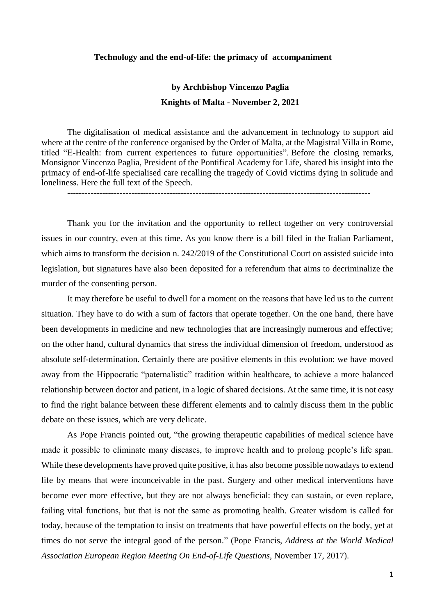## **Technology and the end-of-life: the primacy of accompaniment**

## **by Archbishop Vincenzo Paglia Knights of Malta - November 2, 2021**

The digitalisation of medical assistance and the advancement in technology to support aid where at the centre of the conference organised by the Order of Malta, at the Magistral Villa in Rome, titled "E-Health: from current experiences to future opportunities". Before the closing remarks, Monsignor Vincenzo Paglia, President of the Pontifical Academy for Life, shared his insight into the primacy of end-of-life specialised care recalling the tragedy of Covid victims dying in solitude and loneliness. Here the full text of the Speech.

--------------------------------------------------------------------------------------------------------

Thank you for the invitation and the opportunity to reflect together on very controversial issues in our country, even at this time. As you know there is a bill filed in the Italian Parliament, which aims to transform the decision n. 242/2019 of the Constitutional Court on assisted suicide into legislation, but signatures have also been deposited for a referendum that aims to decriminalize the murder of the consenting person.

It may therefore be useful to dwell for a moment on the reasons that have led us to the current situation. They have to do with a sum of factors that operate together. On the one hand, there have been developments in medicine and new technologies that are increasingly numerous and effective; on the other hand, cultural dynamics that stress the individual dimension of freedom, understood as absolute self-determination. Certainly there are positive elements in this evolution: we have moved away from the Hippocratic "paternalistic" tradition within healthcare, to achieve a more balanced relationship between doctor and patient, in a logic of shared decisions. At the same time, it is not easy to find the right balance between these different elements and to calmly discuss them in the public debate on these issues, which are very delicate.

As Pope Francis pointed out, "the growing therapeutic capabilities of medical science have made it possible to eliminate many diseases, to improve health and to prolong people's life span. While these developments have proved quite positive, it has also become possible nowadays to extend life by means that were inconceivable in the past. Surgery and other medical interventions have become ever more effective, but they are not always beneficial: they can sustain, or even replace, failing vital functions, but that is not the same as promoting health. Greater wisdom is called for today, because of the temptation to insist on treatments that have powerful effects on the body, yet at times do not serve the integral good of the person." (Pope Francis, *Address at the World Medical Association European Region Meeting On End-of-Life Questions*, November 17, 2017).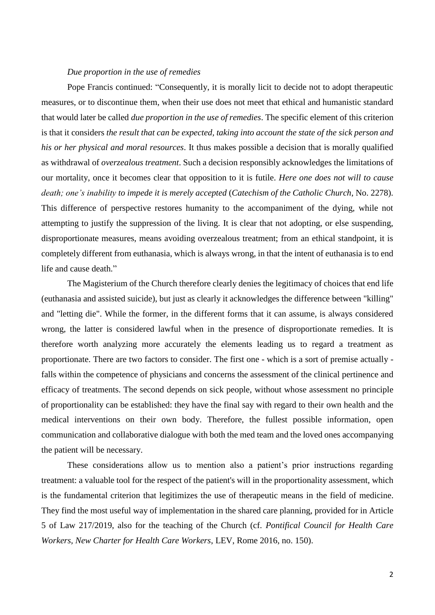## *Due proportion in the use of remedies*

Pope Francis continued: "Consequently, it is morally licit to decide not to adopt therapeutic measures, or to discontinue them, when their use does not meet that ethical and humanistic standard that would later be called *due proportion in the use of remedies*. The specific element of this criterion is that it considers *the result that can be expected, taking into account the state of the sick person and his or her physical and moral resources*. It thus makes possible a decision that is morally qualified as withdrawal of *overzealous treatment*. Such a decision responsibly acknowledges the limitations of our mortality, once it becomes clear that opposition to it is futile. *Here one does not will to cause death; one's inability to impede it is merely accepted* (*Catechism of the Catholic Church*, No. 2278). This difference of perspective restores humanity to the accompaniment of the dying, while not attempting to justify the suppression of the living. It is clear that not adopting, or else suspending, disproportionate measures, means avoiding overzealous treatment; from an ethical standpoint, it is completely different from euthanasia, which is always wrong, in that the intent of euthanasia is to end life and cause death."

The Magisterium of the Church therefore clearly denies the legitimacy of choices that end life (euthanasia and assisted suicide), but just as clearly it acknowledges the difference between "killing" and "letting die". While the former, in the different forms that it can assume, is always considered wrong, the latter is considered lawful when in the presence of disproportionate remedies. It is therefore worth analyzing more accurately the elements leading us to regard a treatment as proportionate. There are two factors to consider. The first one - which is a sort of premise actually falls within the competence of physicians and concerns the assessment of the clinical pertinence and efficacy of treatments. The second depends on sick people, without whose assessment no principle of proportionality can be established: they have the final say with regard to their own health and the medical interventions on their own body. Therefore, the fullest possible information, open communication and collaborative dialogue with both the med team and the loved ones accompanying the patient will be necessary.

These considerations allow us to mention also a patient's prior instructions regarding treatment: a valuable tool for the respect of the patient's will in the proportionality assessment, which is the fundamental criterion that legitimizes the use of therapeutic means in the field of medicine. They find the most useful way of implementation in the shared care planning, provided for in Article 5 of Law 217/2019, also for the teaching of the Church (cf. *Pontifical Council for Health Care Workers, New Charter for Health Care Workers*, LEV, Rome 2016, no. 150).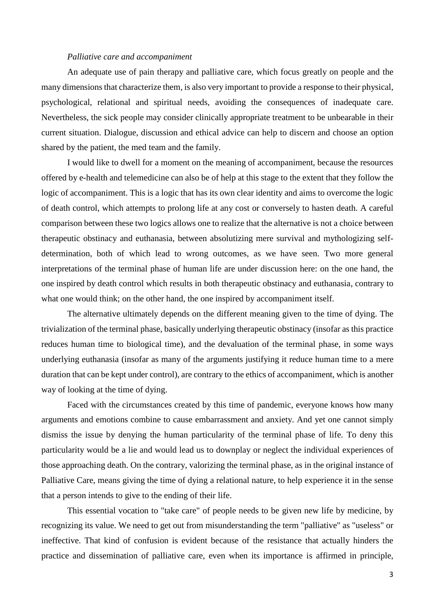## *Palliative care and accompaniment*

An adequate use of pain therapy and palliative care, which focus greatly on people and the many dimensions that characterize them, is also very important to provide a response to their physical, psychological, relational and spiritual needs, avoiding the consequences of inadequate care. Nevertheless, the sick people may consider clinically appropriate treatment to be unbearable in their current situation. Dialogue, discussion and ethical advice can help to discern and choose an option shared by the patient, the med team and the family.

I would like to dwell for a moment on the meaning of accompaniment, because the resources offered by e-health and telemedicine can also be of help at this stage to the extent that they follow the logic of accompaniment. This is a logic that has its own clear identity and aims to overcome the logic of death control, which attempts to prolong life at any cost or conversely to hasten death. A careful comparison between these two logics allows one to realize that the alternative is not a choice between therapeutic obstinacy and euthanasia, between absolutizing mere survival and mythologizing selfdetermination, both of which lead to wrong outcomes, as we have seen. Two more general interpretations of the terminal phase of human life are under discussion here: on the one hand, the one inspired by death control which results in both therapeutic obstinacy and euthanasia, contrary to what one would think; on the other hand, the one inspired by accompaniment itself.

The alternative ultimately depends on the different meaning given to the time of dying. The trivialization of the terminal phase, basically underlying therapeutic obstinacy (insofar as this practice reduces human time to biological time), and the devaluation of the terminal phase, in some ways underlying euthanasia (insofar as many of the arguments justifying it reduce human time to a mere duration that can be kept under control), are contrary to the ethics of accompaniment, which is another way of looking at the time of dying.

Faced with the circumstances created by this time of pandemic, everyone knows how many arguments and emotions combine to cause embarrassment and anxiety. And yet one cannot simply dismiss the issue by denying the human particularity of the terminal phase of life. To deny this particularity would be a lie and would lead us to downplay or neglect the individual experiences of those approaching death. On the contrary, valorizing the terminal phase, as in the original instance of Palliative Care, means giving the time of dying a relational nature, to help experience it in the sense that a person intends to give to the ending of their life.

This essential vocation to "take care" of people needs to be given new life by medicine, by recognizing its value. We need to get out from misunderstanding the term "palliative" as "useless" or ineffective. That kind of confusion is evident because of the resistance that actually hinders the practice and dissemination of palliative care, even when its importance is affirmed in principle,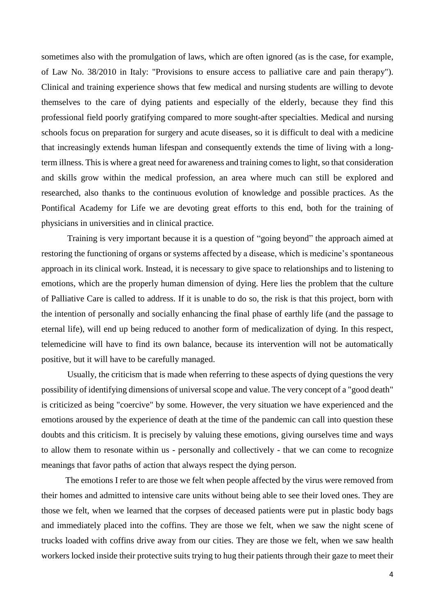sometimes also with the promulgation of laws, which are often ignored (as is the case, for example, of Law No. 38/2010 in Italy: "Provisions to ensure access to palliative care and pain therapy"). Clinical and training experience shows that few medical and nursing students are willing to devote themselves to the care of dying patients and especially of the elderly, because they find this professional field poorly gratifying compared to more sought-after specialties. Medical and nursing schools focus on preparation for surgery and acute diseases, so it is difficult to deal with a medicine that increasingly extends human lifespan and consequently extends the time of living with a longterm illness. This is where a great need for awareness and training comes to light, so that consideration and skills grow within the medical profession, an area where much can still be explored and researched, also thanks to the continuous evolution of knowledge and possible practices. As the Pontifical Academy for Life we are devoting great efforts to this end, both for the training of physicians in universities and in clinical practice.

Training is very important because it is a question of "going beyond" the approach aimed at restoring the functioning of organs or systems affected by a disease, which is medicine's spontaneous approach in its clinical work. Instead, it is necessary to give space to relationships and to listening to emotions, which are the properly human dimension of dying. Here lies the problem that the culture of Palliative Care is called to address. If it is unable to do so, the risk is that this project, born with the intention of personally and socially enhancing the final phase of earthly life (and the passage to eternal life), will end up being reduced to another form of medicalization of dying. In this respect, telemedicine will have to find its own balance, because its intervention will not be automatically positive, but it will have to be carefully managed.

Usually, the criticism that is made when referring to these aspects of dying questions the very possibility of identifying dimensions of universal scope and value. The very concept of a "good death" is criticized as being "coercive" by some. However, the very situation we have experienced and the emotions aroused by the experience of death at the time of the pandemic can call into question these doubts and this criticism. It is precisely by valuing these emotions, giving ourselves time and ways to allow them to resonate within us - personally and collectively - that we can come to recognize meanings that favor paths of action that always respect the dying person.

 The emotions I refer to are those we felt when people affected by the virus were removed from their homes and admitted to intensive care units without being able to see their loved ones. They are those we felt, when we learned that the corpses of deceased patients were put in plastic body bags and immediately placed into the coffins. They are those we felt, when we saw the night scene of trucks loaded with coffins drive away from our cities. They are those we felt, when we saw health workers locked inside their protective suits trying to hug their patients through their gaze to meet their